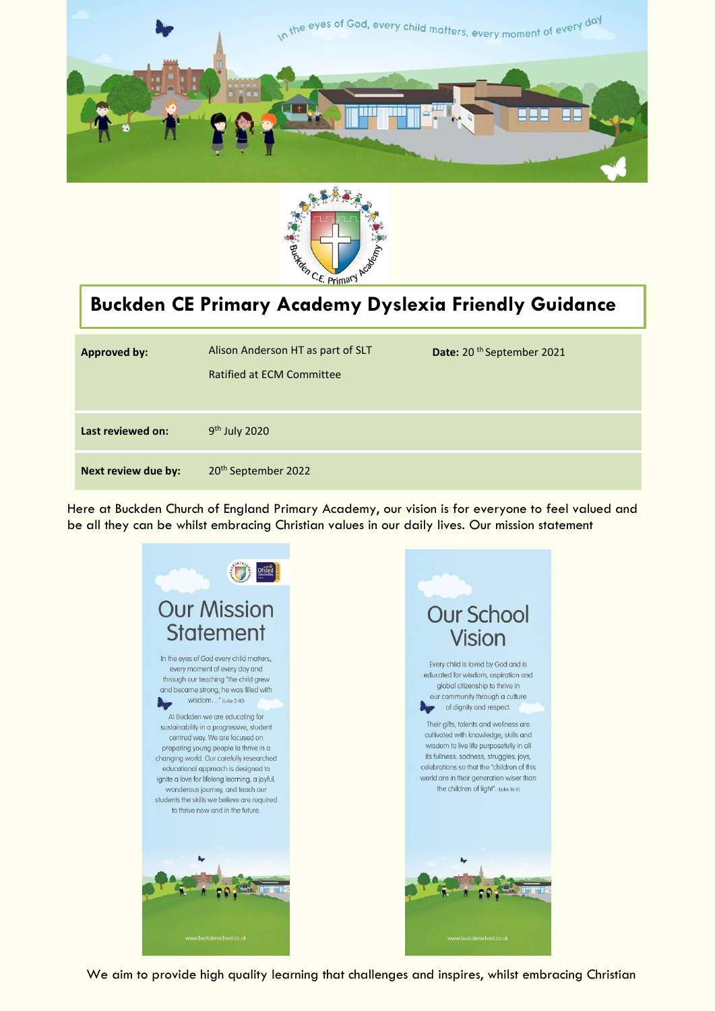



l

# **Buckden CE Primary Academy Dyslexia Friendly Guidance**

| <b>Approved by:</b> | Alison Anderson HT as part of SLT<br><b>Ratified at ECM Committee</b> | Date: 20 <sup>th</sup> September 2021 |
|---------------------|-----------------------------------------------------------------------|---------------------------------------|
| Last reviewed on:   | 9 <sup>th</sup> July 2020                                             |                                       |
| Next review due by: | 20 <sup>th</sup> September 2022                                       |                                       |

Here at Buckden Church of England Primary Academy, our vision is for everyone to feel valued and be all they can be whilst embracing Christian values in our daily lives. Our mission statement



We aim to provide high quality learning that challenges and inspires, whilst embracing Christian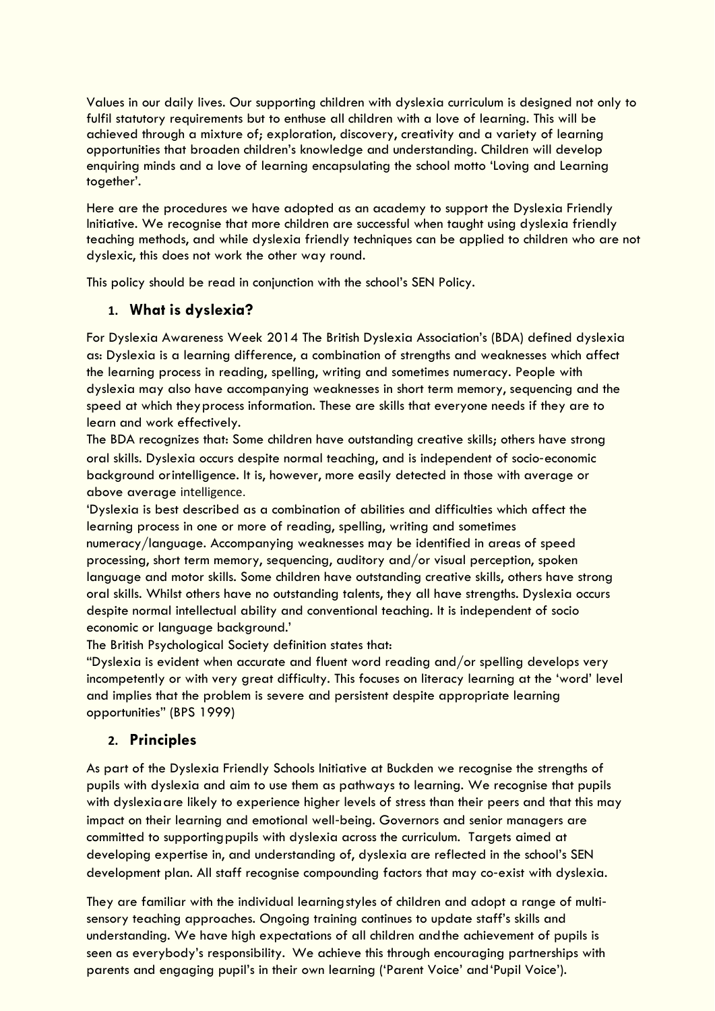Values in our daily lives. Our supporting children with dyslexia curriculum is designed not only to fulfil statutory requirements but to enthuse all children with a love of learning. This will be achieved through a mixture of; exploration, discovery, creativity and a variety of learning opportunities that broaden children's knowledge and understanding. Children will develop enquiring minds and a love of learning encapsulating the school motto 'Loving and Learning together'.

Here are the procedures we have adopted as an academy to support the Dyslexia Friendly Initiative. We recognise that more children are successful when taught using dyslexia friendly teaching methods, and while dyslexia friendly techniques can be applied to children who are not dyslexic, this does not work the other way round.

This policy should be read in conjunction with the school's SEN Policy.

# **1. What is dyslexia?**

For Dyslexia Awareness Week 2014 The British Dyslexia Association's (BDA) defined dyslexia as: Dyslexia is a learning difference, a combination of strengths and weaknesses which affect the learning process in reading, spelling, writing and sometimes numeracy. People with dyslexia may also have accompanying weaknesses in short term memory, sequencing and the speed at which theyprocess information. These are skills that everyone needs if they are to learn and work effectively.

The BDA recognizes that: Some children have outstanding creative skills; others have strong oral skills. Dyslexia occurs despite normal teaching, and is independent of socio‐economic background orintelligence. It is, however, more easily detected in those with average or above average intelligence.

'Dyslexia is best described as a combination of abilities and difficulties which affect the learning process in one or more of reading, spelling, writing and sometimes numeracy/language. Accompanying weaknesses may be identified in areas of speed processing, short term memory, sequencing, auditory and/or visual perception, spoken language and motor skills. Some children have outstanding creative skills, others have strong oral skills. Whilst others have no outstanding talents, they all have strengths. Dyslexia occurs despite normal intellectual ability and conventional teaching. It is independent of socio economic or language background.'

The British Psychological Society definition states that:

"Dyslexia is evident when accurate and fluent word reading and/or spelling develops very incompetently or with very great difficulty. This focuses on literacy learning at the 'word' level and implies that the problem is severe and persistent despite appropriate learning opportunities" (BPS 1999)

# **2. Principles**

As part of the Dyslexia Friendly Schools Initiative at Buckden we recognise the strengths of pupils with dyslexia and aim to use them as pathways to learning. We recognise that pupils with dyslexiaare likely to experience higher levels of stress than their peers and that this may impact on their learning and emotional well‐being. Governors and senior managers are committed to supportingpupils with dyslexia across the curriculum. Targets aimed at developing expertise in, and understanding of, dyslexia are reflected in the school's SEN development plan. All staff recognise compounding factors that may co-exist with dyslexia.

They are familiar with the individual learningstyles of children and adopt a range of multi‐ sensory teaching approaches. Ongoing training continues to update staff's skills and understanding. We have high expectations of all children andthe achievement of pupils is seen as everybody's responsibility. We achieve this through encouraging partnerships with parents and engaging pupil's in their own learning ('Parent Voice' and'Pupil Voice').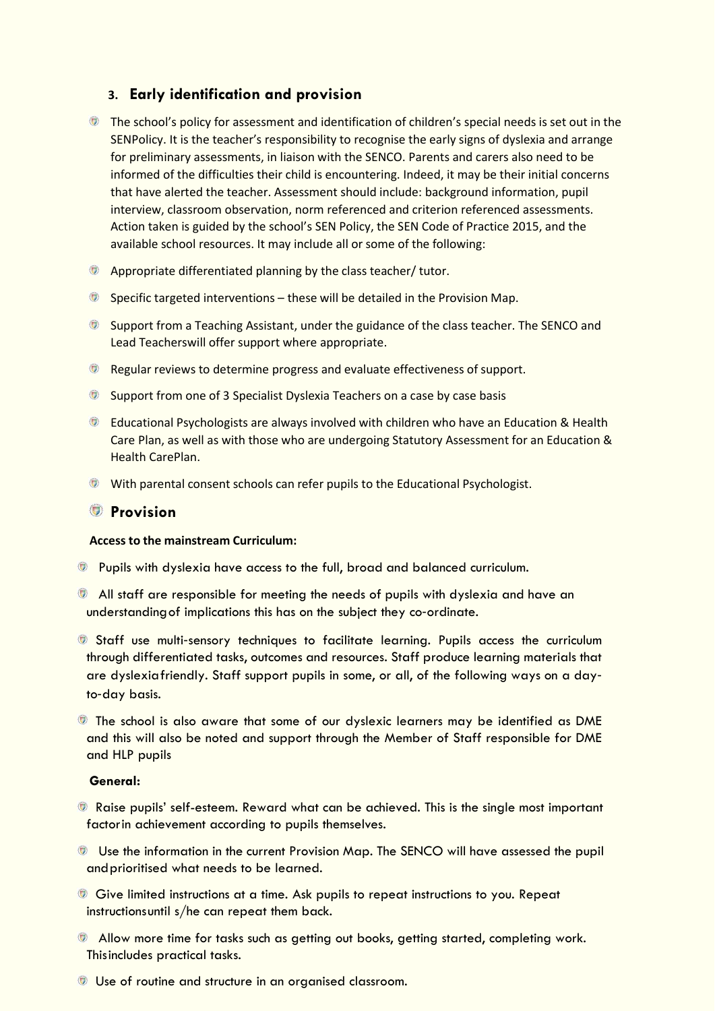# **3. Early identification and provision**

- **The school's policy for assessment and identification of children's special needs is set out in the** SENPolicy. It is the teacher's responsibility to recognise the early signs of dyslexia and arrange for preliminary assessments, in liaison with the SENCO. Parents and carers also need to be informed of the difficulties their child is encountering. Indeed, it may be their initial concerns that have alerted the teacher. Assessment should include: background information, pupil interview, classroom observation, norm referenced and criterion referenced assessments. Action taken is guided by the school's SEN Policy, the SEN Code of Practice 2015, and the available school resources. It may include all or some of the following:
- Appropriate differentiated planning by the class teacher/ tutor.
- $\bullet$  Specific targeted interventions these will be detailed in the Provision Map.
- Support from a Teaching Assistant, under the guidance of the class teacher. The SENCO and Lead Teacherswill offer support where appropriate.
- **EXP** Regular reviews to determine progress and evaluate effectiveness of support.
- **Support from one of 3 Specialist Dyslexia Teachers on a case by case basis**
- Educational Psychologists are always involved with children who have an Education & Health Care Plan, as well as with those who are undergoing Statutory Assessment for an Education & Health CarePlan.
- **With parental consent schools can refer pupils to the Educational Psychologist.**

## **Provision**

#### **Access to the mainstream Curriculum:**

- Pupils with dyslexia have access to the full, broad and balanced curriculum.
- All staff are responsible for meeting the needs of pupils with dyslexia and have an understanding of implications this has on the subject they co-ordinate.
- Staff use multi‐sensory techniques to facilitate learning. Pupils access the curriculum through differentiated tasks, outcomes and resources. Staff produce learning materials that are dyslexiafriendly. Staff support pupils in some, or all, of the following ways on a day‐ to‐day basis.
- The school is also aware that some of our dyslexic learners may be identified as DME and this will also be noted and support through the Member of Staff responsible for DME and HLP pupils

#### **General:**

- **Raise pupils' self-esteem. Reward what can be achieved. This is the single most important** factorin achievement according to pupils themselves.
- Use the information in the current Provision Map. The SENCO will have assessed the pupil andprioritised what needs to be learned.
- Give limited instructions at a time. Ask pupils to repeat instructions to you. Repeat instructionsuntil s/he can repeat them back.
- Allow more time for tasks such as getting out books, getting started, completing work. Thisincludes practical tasks.
- Use of routine and structure in an organised classroom.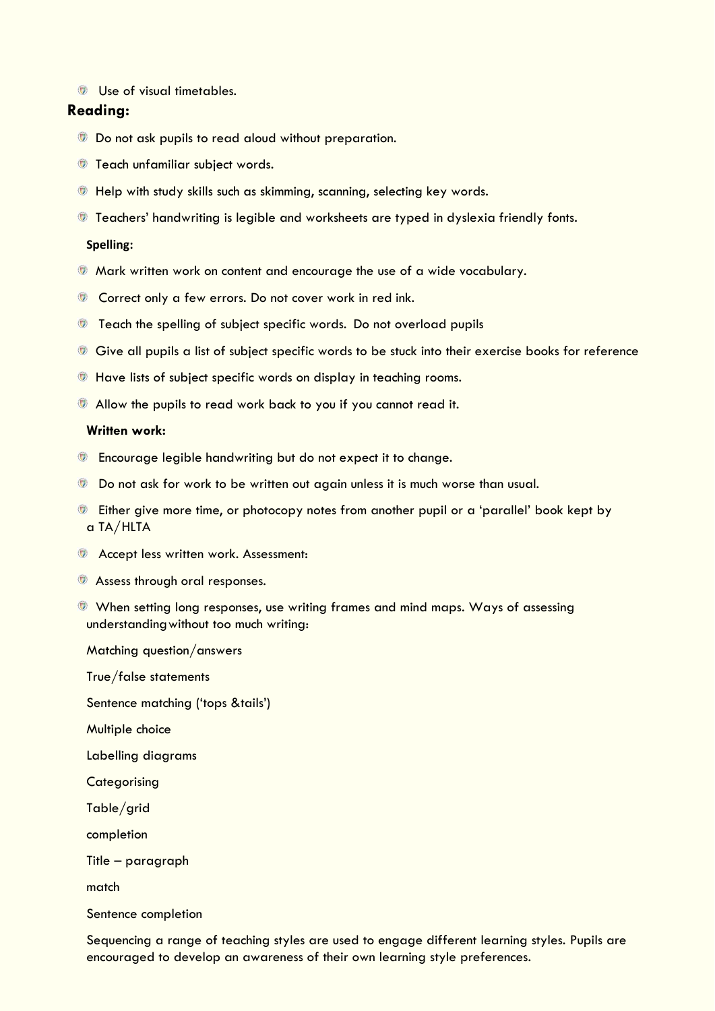Use of visual timetables.

### **Reading:**

- **Do not ask pupils to read aloud without preparation.**
- **Teach unfamiliar subject words.**
- **Thelp with study skills such as skimming, scanning, selecting key words.**
- **The Teachers' handwriting is legible and worksheets are typed in dyslexia friendly fonts.**

#### **Spelling:**

- $\bullet$  Mark written work on content and encourage the use of a wide vocabulary.
- **Correct only a few errors. Do not cover work in red ink.**
- **Teach the spelling of subject specific words. Do not overload pupils**
- Give all pupils a list of subject specific words to be stuck into their exercise books for reference
- **The Have lists of subject specific words on display in teaching rooms.**
- Allow the pupils to read work back to you if you cannot read it.

#### **Written work:**

- **Encourage legible handwriting but do not expect it to change.**
- **Do not ask for work to be written out again unless it is much worse than usual.**
- **Either give more time, or photocopy notes from another pupil or a 'parallel' book kept by** a TA/HLTA
- **EX Accept less written work. Assessment:**
- **Assess through oral responses.**
- When setting long responses, use writing frames and mind maps. Ways of assessing understandingwithout too much writing:

Matching question/answers

True/false statements

Sentence matching ('tops &tails')

Multiple choice

Labelling diagrams

**Categorising** 

Table/grid

completion

Title – paragraph

match

Sentence completion

Sequencing a range of teaching styles are used to engage different learning styles. Pupils are encouraged to develop an awareness of their own learning style preferences.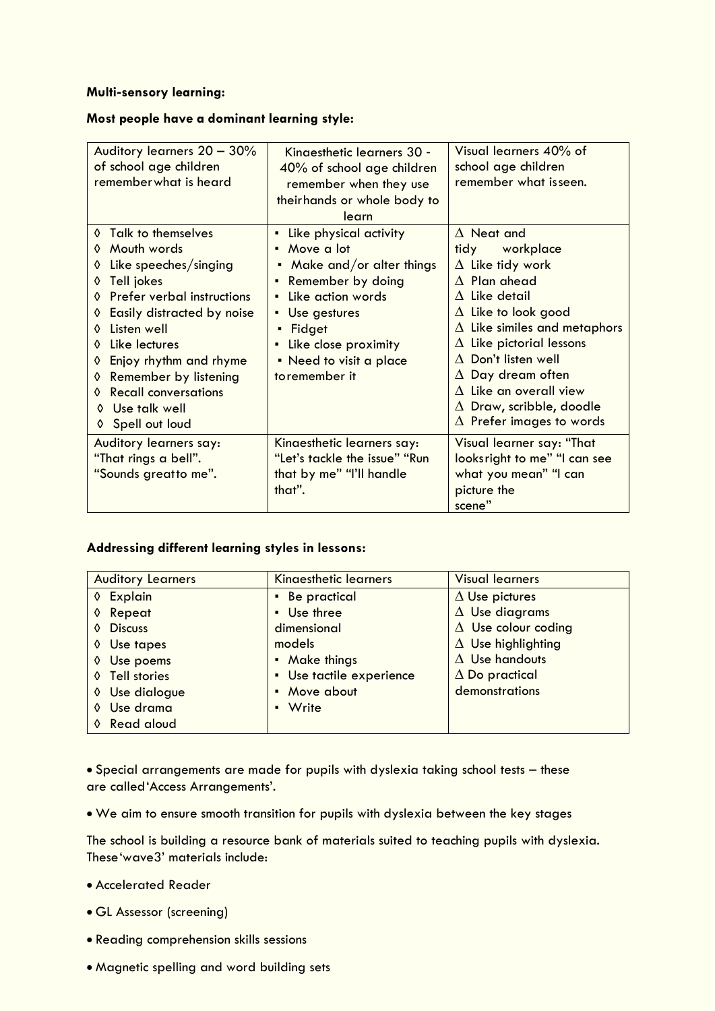#### **Multi**‐**sensory learning:**

#### **Most people have a dominant learning style:**

| Auditory learners 20 - 30%<br>of school age children<br>remember what is heard                                                                                                                                                                                                                                                      | Kingesthetic learners 30 -<br>40% of school age children<br>remember when they use<br>their hands or whole body to<br>learn                                                                                                | Visual learners 40% of<br>school age children<br>remember what isseen.                                                                                                                                                                                                                                                                                                             |
|-------------------------------------------------------------------------------------------------------------------------------------------------------------------------------------------------------------------------------------------------------------------------------------------------------------------------------------|----------------------------------------------------------------------------------------------------------------------------------------------------------------------------------------------------------------------------|------------------------------------------------------------------------------------------------------------------------------------------------------------------------------------------------------------------------------------------------------------------------------------------------------------------------------------------------------------------------------------|
| Talk to themselves<br>$\mathcal{O}$<br>Mouth words<br>Like speeches/singing<br>Tell jokes<br>♦<br>Prefer verbal instructions<br>Easily distracted by noise<br>Listen well<br>♦<br>Like lectures<br>Enjoy rhythm and rhyme<br>Remember by listening<br>♦<br><b>Recall conversations</b><br>Use talk well<br>♦<br>Spell out loud<br>♦ | • Like physical activity<br>• Move a lot<br>Make and/or alter things<br>Remember by doing<br>٠<br>Like action words<br>٠<br>• Use gestures<br>Fidget<br>- Like close proximity<br>• Need to visit a place<br>toremember it | $\Delta$ Neat and<br>tidy workplace<br>$\Delta$ Like tidy work<br>$\Delta$ Plan ahead<br>$\Delta$ Like detail<br>$\Delta$ Like to look good<br>$\Delta$ Like similes and metaphors<br>Like pictorial lessons<br>Δ<br>$\Delta$ Don't listen well<br>$\Delta$ Day dream often<br>$\Delta$ Like an overall view<br>$\Delta$ Draw, scribble, doodle<br>$\Delta$ Prefer images to words |
| Auditory learners say:<br>"That rings a bell".<br>"Sounds greatto me".                                                                                                                                                                                                                                                              | Kinaesthetic learners say:<br>"Let's tackle the issue" "Run<br>that by me" "I'll handle<br>that".                                                                                                                          | Visual learner say: "That<br>looksright to me" "I can see<br>what you mean" "I can<br>picture the<br>scene"                                                                                                                                                                                                                                                                        |

## **Addressing different learning styles in lessons:**

| <b>Auditory Learners</b> | <b>Kingesthetic learners</b> | <b>Visual learners</b>     |
|--------------------------|------------------------------|----------------------------|
| ♦ Explain                | • Be practical               | $\Delta$ Use pictures      |
| Repeat<br>♦              | • Use three                  | $\Delta$ Use diagrams      |
| <b>Discuss</b><br>♦      | dimensional                  | $\Delta$ Use colour coding |
| ♦ Use tapes              | models                       | $\Delta$ Use highlighting  |
| ♦ Use poems              | • Make things                | $\Delta$ Use handouts      |
| ♦ Tell stories           | • Use tactile experience     | $\Delta$ Do practical      |
| Use dialogue<br>♦        | • Move about                 | demonstrations             |
| Use drama<br>♦           | • Write                      |                            |
| ♦ Read aloud             |                              |                            |

 Special arrangements are made for pupils with dyslexia taking school tests – these are called'Access Arrangements'.

We aim to ensure smooth transition for pupils with dyslexia between the key stages

The school is building a resource bank of materials suited to teaching pupils with dyslexia. These'wave3' materials include:

- Accelerated Reader
- GL Assessor (screening)
- Reading comprehension skills sessions
- Magnetic spelling and word building sets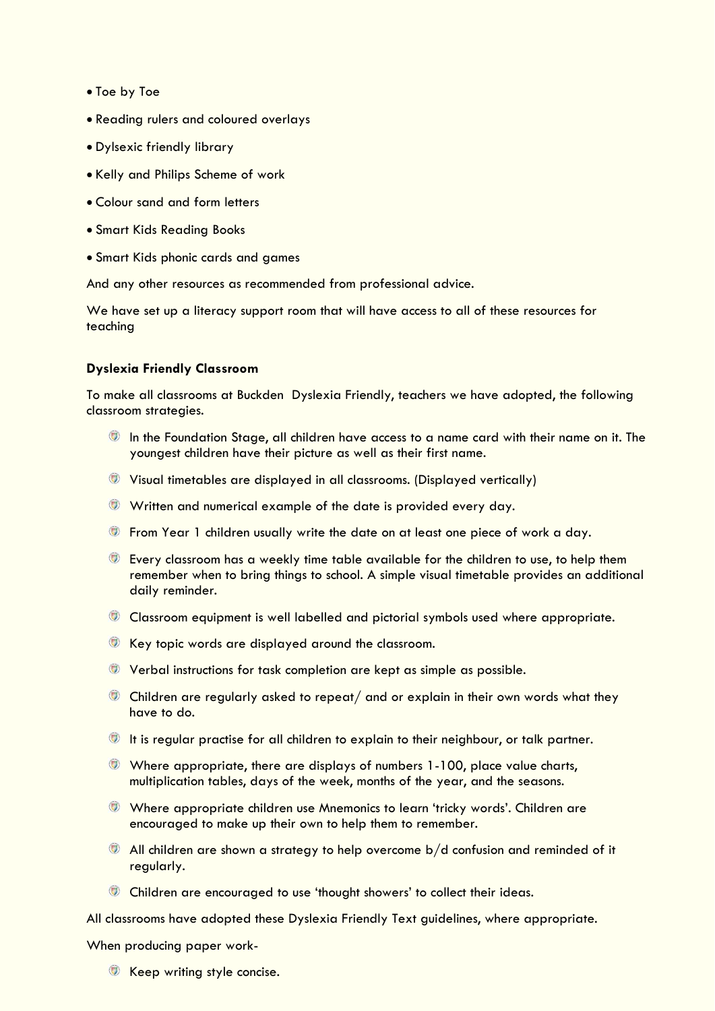- Toe by Toe
- Reading rulers and coloured overlays
- Dylsexic friendly library
- Kelly and Philips Scheme of work
- Colour sand and form letters
- Smart Kids Reading Books
- Smart Kids phonic cards and games

And any other resources as recommended from professional advice.

We have set up a literacy support room that will have access to all of these resources for teaching

#### **Dyslexia Friendly Classroom**

To make all classrooms at Buckden Dyslexia Friendly, teachers we have adopted, the following classroom strategies.

- **In the Foundation Stage, all children have access to a name card with their name on it. The** youngest children have their picture as well as their first name.
- Visual timetables are displayed in all classrooms. (Displayed vertically)
- Written and numerical example of the date is provided every day.
- **The From Year 1 children usually write the date on at least one piece of work a day.**
- Every classroom has a weekly time table available for the children to use, to help them remember when to bring things to school. A simple visual timetable provides an additional daily reminder.
- **Classroom equipment is well labelled and pictorial symbols used where appropriate.**
- Key topic words are displayed around the classroom.
- Verbal instructions for task completion are kept as simple as possible.
- Children are regularly asked to repeat/ and or explain in their own words what they have to do.
- **It is regular practise for all children to explain to their neighbour, or talk partner.**
- $\bullet$  Where appropriate, there are displays of numbers 1-100, place value charts, multiplication tables, days of the week, months of the year, and the seasons.
- Where appropriate children use Mnemonics to learn 'tricky words'. Children are encouraged to make up their own to help them to remember.
- All children are shown a strategy to help overcome b/d confusion and reminded of it regularly.
- Children are encouraged to use 'thought showers' to collect their ideas.

All classrooms have adopted these Dyslexia Friendly Text guidelines, where appropriate. When producing paper work-

**Keep writing style concise.**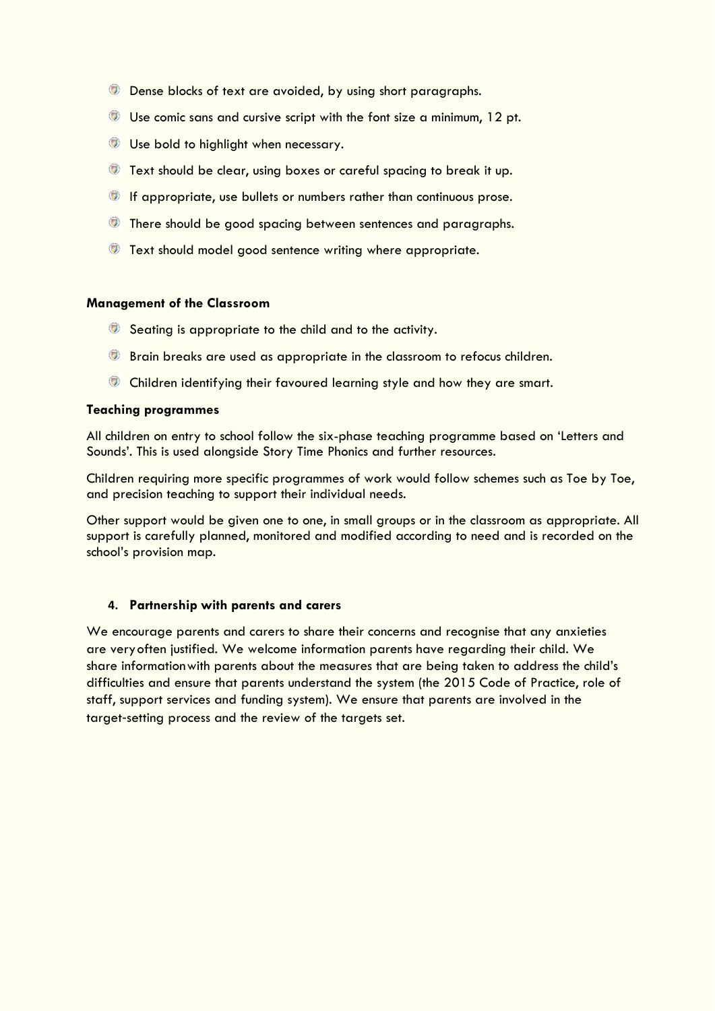- **Dense blocks of text are avoided, by using short paragraphs.**
- Use comic sans and cursive script with the font size a minimum, 12 pt.
- Use bold to highlight when necessary.
- **Text should be clear, using boxes or careful spacing to break it up.**
- If appropriate, use bullets or numbers rather than continuous prose.
- **There should be good spacing between sentences and paragraphs.**
- **Text should model good sentence writing where appropriate.**

#### **Management of the Classroom**

- **Seating is appropriate to the child and to the activity.**
- **Brain breaks are used as appropriate in the classroom to refocus children.**
- **Children identifying their favoured learning style and how they are smart.**

#### **Teaching programmes**

All children on entry to school follow the six-phase teaching programme based on 'Letters and Sounds'. This is used alongside Story Time Phonics and further resources.

Children requiring more specific programmes of work would follow schemes such as Toe by Toe, and precision teaching to support their individual needs.

Other support would be given one to one, in small groups or in the classroom as appropriate. All support is carefully planned, monitored and modified according to need and is recorded on the school's provision map.

#### **4. Partnership with parents and carers**

We encourage parents and carers to share their concerns and recognise that any anxieties are veryoften justified. We welcome information parents have regarding their child. We share informationwith parents about the measures that are being taken to address the child's difficulties and ensure that parents understand the system (the 2015 Code of Practice, role of staff, support services and funding system). We ensure that parents are involved in the target‐setting process and the review of the targets set.